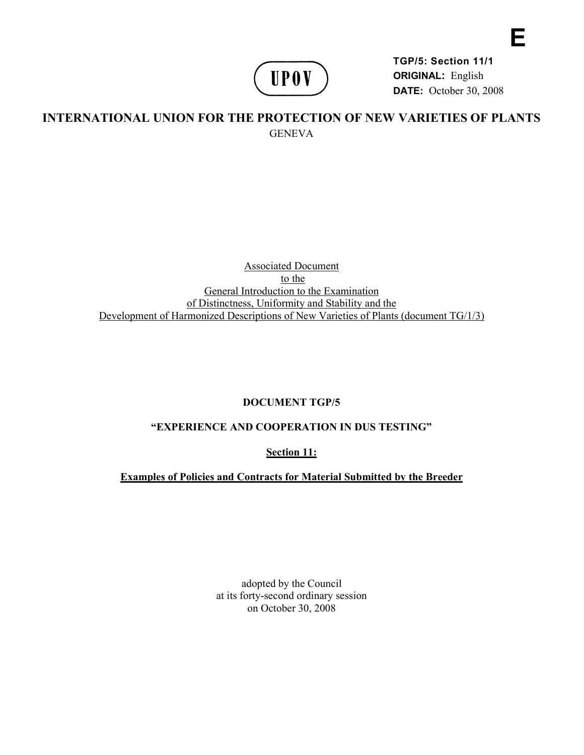

**TGP/5: Section 11/1 ORIGINAL:** English **DATE:** October 30, 2008 **E** 

# **INTERNATIONAL UNION FOR THE PROTECTION OF NEW VARIETIES OF PLANTS GENEVA**

## Associated Document to the General Introduction to the Examination of Distinctness, Uniformity and Stability and the Development of Harmonized Descriptions of New Varieties of Plants (document TG/1/3)

## **DOCUMENT TGP/5**

## **"EXPERIENCE AND COOPERATION IN DUS TESTING"**

**Section 11:** 

**Examples of Policies and Contracts for Material Submitted by the Breeder** 

adopted by the Council at its forty-second ordinary session on October 30, 2008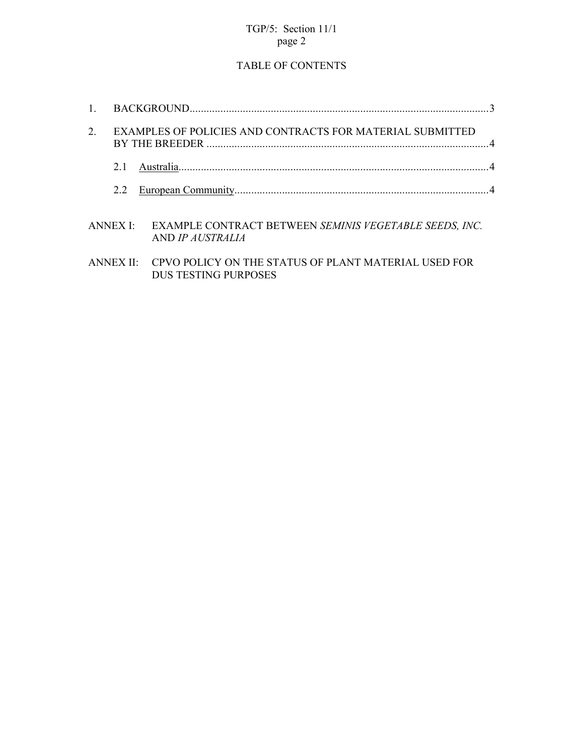## TGP/5: Section 11/1 page 2

# TABLE OF CONTENTS

| $\mathbf{1}$ |                                                           |                                                                                               |  |
|--------------|-----------------------------------------------------------|-----------------------------------------------------------------------------------------------|--|
| 2.           | EXAMPLES OF POLICIES AND CONTRACTS FOR MATERIAL SUBMITTED |                                                                                               |  |
|              | 21                                                        |                                                                                               |  |
|              | 2.2                                                       |                                                                                               |  |
|              | ANNEX I <sup>.</sup>                                      | <b>EXAMPLE CONTRACT BETWEEN SEMINIS VEGETABLE SEEDS, INC.</b><br>AND <i>IP AUSTRALIA</i>      |  |
|              |                                                           | ANNEX II: CPVO POLICY ON THE STATUS OF PLANT MATERIAL USED FOR<br><b>DUS TESTING PURPOSES</b> |  |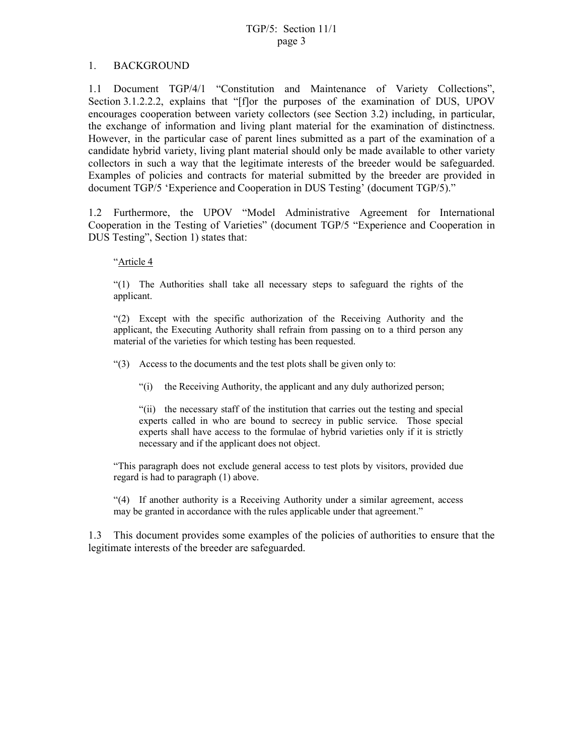### 1. BACKGROUND

1.1 Document TGP/4/1 "Constitution and Maintenance of Variety Collections", Section 3.1.2.2.2, explains that "[f]or the purposes of the examination of DUS, UPOV encourages cooperation between variety collectors (see Section 3.2) including, in particular, the exchange of information and living plant material for the examination of distinctness. However, in the particular case of parent lines submitted as a part of the examination of a candidate hybrid variety, living plant material should only be made available to other variety collectors in such a way that the legitimate interests of the breeder would be safeguarded. Examples of policies and contracts for material submitted by the breeder are provided in document TGP/5 'Experience and Cooperation in DUS Testing' (document TGP/5)."

1.2 Furthermore, the UPOV "Model Administrative Agreement for International Cooperation in the Testing of Varieties" (document TGP/5 "Experience and Cooperation in DUS Testing", Section 1) states that:

"Article 4

"(1) The Authorities shall take all necessary steps to safeguard the rights of the applicant.

"(2) Except with the specific authorization of the Receiving Authority and the applicant, the Executing Authority shall refrain from passing on to a third person any material of the varieties for which testing has been requested.

"(3) Access to the documents and the test plots shall be given only to:

"(i) the Receiving Authority, the applicant and any duly authorized person;

"(ii) the necessary staff of the institution that carries out the testing and special experts called in who are bound to secrecy in public service. Those special experts shall have access to the formulae of hybrid varieties only if it is strictly necessary and if the applicant does not object.

"This paragraph does not exclude general access to test plots by visitors, provided due regard is had to paragraph (1) above.

"(4) If another authority is a Receiving Authority under a similar agreement, access may be granted in accordance with the rules applicable under that agreement."

1.3 This document provides some examples of the policies of authorities to ensure that the legitimate interests of the breeder are safeguarded.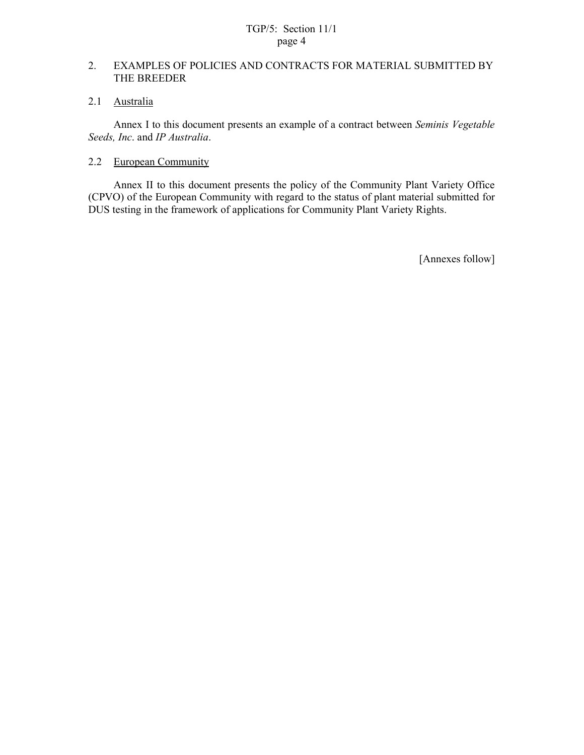## TGP/5: Section 11/1 page 4

## 2. EXAMPLES OF POLICIES AND CONTRACTS FOR MATERIAL SUBMITTED BY THE BREEDER

## 2.1 Australia

 Annex I to this document presents an example of a contract between *Seminis Vegetable Seeds, Inc*. and *IP Australia*.

### 2.2 European Community

Annex II to this document presents the policy of the Community Plant Variety Office (CPVO) of the European Community with regard to the status of plant material submitted for DUS testing in the framework of applications for Community Plant Variety Rights.

[Annexes follow]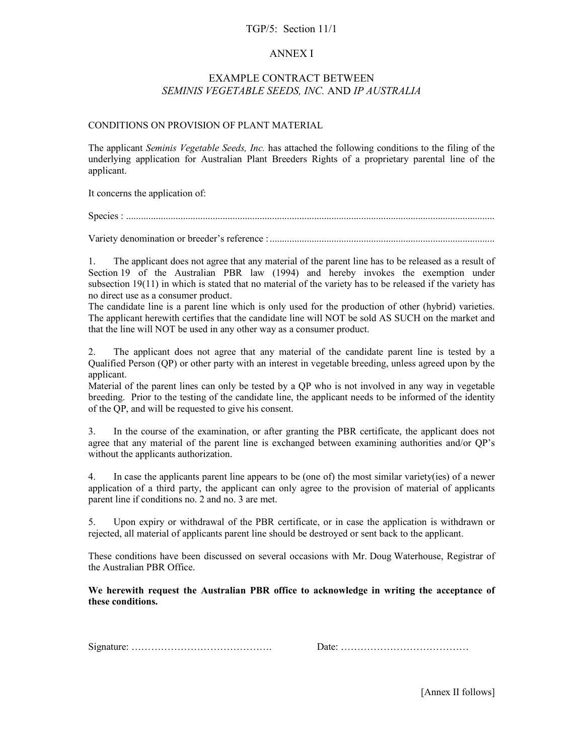#### TGP/5: Section 11/1

#### ANNEX I

### EXAMPLE CONTRACT BETWEEN *SEMINIS VEGETABLE SEEDS, INC.* AND *IP AUSTRALIA*

#### CONDITIONS ON PROVISION OF PLANT MATERIAL

The applicant *Seminis Vegetable Seeds, Inc.* has attached the following conditions to the filing of the underlying application for Australian Plant Breeders Rights of a proprietary parental line of the applicant.

It concerns the application of:

Species : .....................................................................................................................................................

Variety denomination or breeder's reference : ...........................................................................................

1. The applicant does not agree that any material of the parent line has to be released as a result of Section 19 of the Australian PBR law (1994) and hereby invokes the exemption under subsection 19(11) in which is stated that no material of the variety has to be released if the variety has no direct use as a consumer product.

The candidate line is a parent line which is only used for the production of other (hybrid) varieties. The applicant herewith certifies that the candidate line will NOT be sold AS SUCH on the market and that the line will NOT be used in any other way as a consumer product.

2. The applicant does not agree that any material of the candidate parent line is tested by a Qualified Person (QP) or other party with an interest in vegetable breeding, unless agreed upon by the applicant.

Material of the parent lines can only be tested by a QP who is not involved in any way in vegetable breeding. Prior to the testing of the candidate line, the applicant needs to be informed of the identity of the QP, and will be requested to give his consent.

3. In the course of the examination, or after granting the PBR certificate, the applicant does not agree that any material of the parent line is exchanged between examining authorities and/or QP's without the applicants authorization.

4. In case the applicants parent line appears to be (one of) the most similar variety(ies) of a newer application of a third party, the applicant can only agree to the provision of material of applicants parent line if conditions no. 2 and no. 3 are met.

5. Upon expiry or withdrawal of the PBR certificate, or in case the application is withdrawn or rejected, all material of applicants parent line should be destroyed or sent back to the applicant.

These conditions have been discussed on several occasions with Mr. Doug Waterhouse, Registrar of the Australian PBR Office.

**We herewith request the Australian PBR office to acknowledge in writing the acceptance of these conditions.** 

Signature: ……………………………………. Date: …………………………………

[Annex II follows]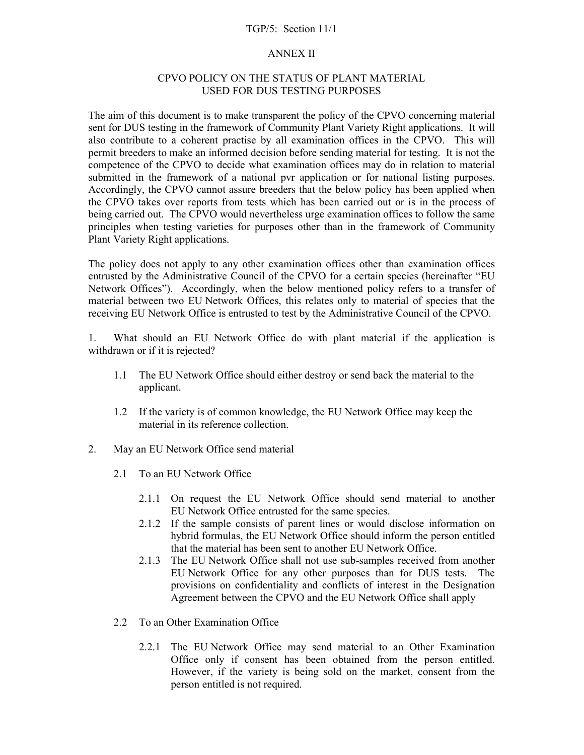#### TGP/5: Section 11/1

#### ANNEX II

### CPVO POLICY ON THE STATUS OF PLANT MATERIAL USED FOR DUS TESTING PURPOSES

The aim of this document is to make transparent the policy of the CPVO concerning material sent for DUS testing in the framework of Community Plant Variety Right applications. It will also contribute to a coherent practise by all examination offices in the CPVO. This will permit breeders to make an informed decision before sending material for testing. It is not the competence of the CPVO to decide what examination offices may do in relation to material submitted in the framework of a national pvr application or for national listing purposes. Accordingly, the CPVO cannot assure breeders that the below policy has been applied when the CPVO takes over reports from tests which has been carried out or is in the process of being carried out. The CPVO would nevertheless urge examination offices to follow the same principles when testing varieties for purposes other than in the framework of Community Plant Variety Right applications.

The policy does not apply to any other examination offices other than examination offices entrusted by the Administrative Council of the CPVO for a certain species (hereinafter "EU Network Offices"). Accordingly, when the below mentioned policy refers to a transfer of material between two EU Network Offices, this relates only to material of species that the receiving EU Network Office is entrusted to test by the Administrative Council of the CPVO.

1. What should an EU Network Office do with plant material if the application is withdrawn or if it is rejected?

- 1.1 The EU Network Office should either destroy or send back the material to the applicant.
- 1.2 If the variety is of common knowledge, the EU Network Office may keep the material in its reference collection.
- 2. May an EU Network Office send material
	- 2.1 To an EU Network Office
		- 2.1.1 On request the EU Network Office should send material to another EU Network Office entrusted for the same species.
		- 2.1.2 If the sample consists of parent lines or would disclose information on hybrid formulas, the EU Network Office should inform the person entitled that the material has been sent to another EU Network Office.
		- 2.1.3 The EU Network Office shall not use sub-samples received from another EU Network Office for any other purposes than for DUS tests. The provisions on confidentiality and conflicts of interest in the Designation Agreement between the CPVO and the EU Network Office shall apply
	- 2.2 To an Other Examination Office
		- 2.2.1 The EU Network Office may send material to an Other Examination Office only if consent has been obtained from the person entitled. However, if the variety is being sold on the market, consent from the person entitled is not required.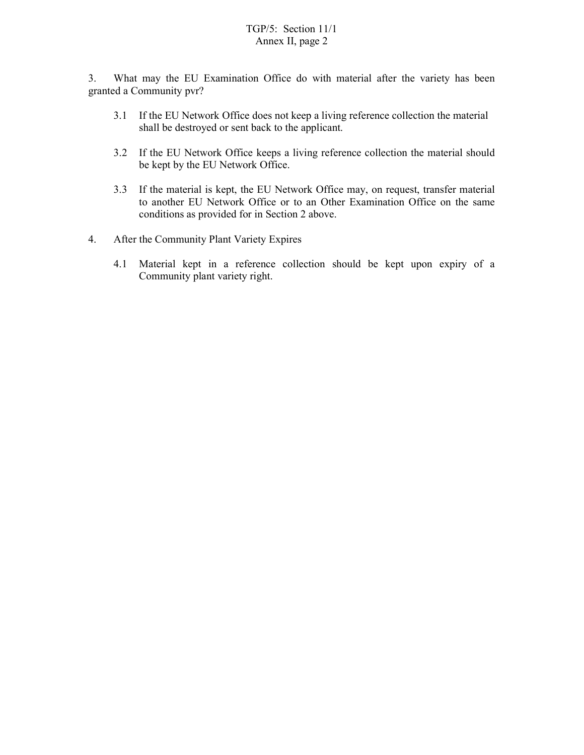## TGP/5: Section 11/1 Annex II, page 2

3. What may the EU Examination Office do with material after the variety has been granted a Community pvr?

- 3.1 If the EU Network Office does not keep a living reference collection the material shall be destroyed or sent back to the applicant.
- 3.2 If the EU Network Office keeps a living reference collection the material should be kept by the EU Network Office.
- 3.3 If the material is kept, the EU Network Office may, on request, transfer material to another EU Network Office or to an Other Examination Office on the same conditions as provided for in Section 2 above.
- 4. After the Community Plant Variety Expires
	- 4.1 Material kept in a reference collection should be kept upon expiry of a Community plant variety right.